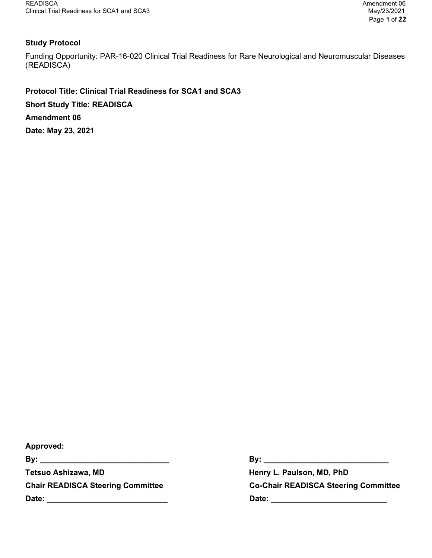# Study Protocol

Funding Opportunity: PAR-16-020 Clinical Trial Readiness for Rare Neurological and Neuromuscular Diseases (READISCA)

Protocol Title: Clinical Trial Readiness for SCA1 and SCA3 Short Study Title: READISCA Amendment 06 Date: May 23, 2021

Approved: By: \_\_\_\_\_\_\_\_\_\_\_\_\_\_\_\_\_\_\_\_\_\_\_\_\_\_\_\_\_\_ By: \_\_\_\_\_\_\_\_\_\_\_\_\_\_\_\_\_\_\_\_\_\_\_\_\_\_\_\_\_ Tetsuo Ashizawa, MD **Henry L. Paulson, MD, PhD** Date: \_\_\_\_\_\_\_\_\_\_\_\_\_\_\_\_\_\_\_\_\_\_\_\_\_\_\_\_ Date: \_\_\_\_\_\_\_\_\_\_\_\_\_\_\_\_\_\_\_\_\_\_\_\_\_\_\_

Chair READISCA Steering Committee Co-Chair READISCA Steering Committee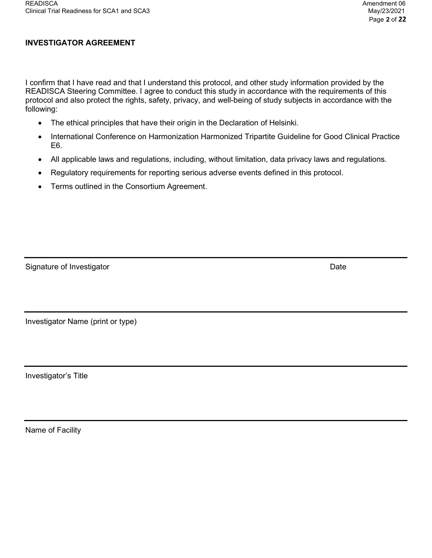# INVESTIGATOR AGREEMENT

I confirm that I have read and that I understand this protocol, and other study information provided by the READISCA Steering Committee. I agree to conduct this study in accordance with the requirements of this protocol and also protect the rights, safety, privacy, and well-being of study subjects in accordance with the following:

- The ethical principles that have their origin in the Declaration of Helsinki.
- International Conference on Harmonization Harmonized Tripartite Guideline for Good Clinical Practice E6.
- All applicable laws and regulations, including, without limitation, data privacy laws and regulations.
- Regulatory requirements for reporting serious adverse events defined in this protocol.
- Terms outlined in the Consortium Agreement.

| Signature of Investigator | Date |
|---------------------------|------|
|                           |      |

Investigator Name (print or type)

Investigator's Title

Name of Facility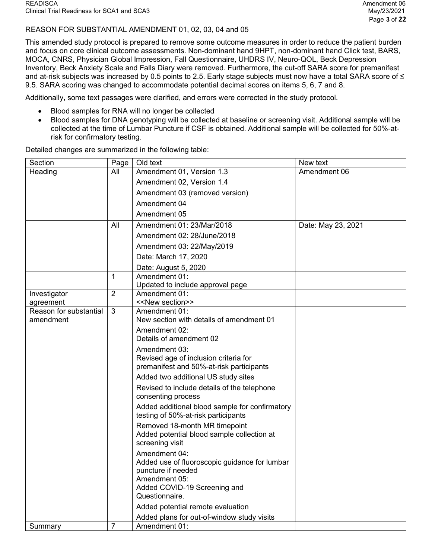## REASON FOR SUBSTANTIAL AMENDMENT 01, 02, 03, 04 and 05

This amended study protocol is prepared to remove some outcome measures in order to reduce the patient burden and focus on core clinical outcome assessments. Non-dominant hand 9HPT, non-dominant hand Click test, BARS, MOCA, CNRS, Physician Global Impression, Fall Questionnaire, UHDRS IV, Neuro-QOL, Beck Depression Inventory, Beck Anxiety Scale and Falls Diary were removed. Furthermore, the cut-off SARA score for premanifest and at-risk subjects was increased by 0.5 points to 2.5. Early stage subjects must now have a total SARA score of ≤ 9.5. SARA scoring was changed to accommodate potential decimal scores on items 5, 6, 7 and 8.

Additionally, some text passages were clarified, and errors were corrected in the study protocol.

- Blood samples for RNA will no longer be collected
- Blood samples for DNA genotyping will be collected at baseline or screening visit. Additional sample will be collected at the time of Lumbar Puncture if CSF is obtained. Additional sample will be collected for 50%-atrisk for confirmatory testing.

| Section                             | Page           | Old text                                                                                                                                                | New text           |
|-------------------------------------|----------------|---------------------------------------------------------------------------------------------------------------------------------------------------------|--------------------|
| Heading                             | All            | Amendment 01, Version 1.3                                                                                                                               | Amendment 06       |
|                                     |                | Amendment 02, Version 1.4                                                                                                                               |                    |
|                                     |                | Amendment 03 (removed version)                                                                                                                          |                    |
|                                     |                | Amendment 04                                                                                                                                            |                    |
|                                     |                | Amendment 05                                                                                                                                            |                    |
|                                     | All            | Amendment 01: 23/Mar/2018                                                                                                                               | Date: May 23, 2021 |
|                                     |                | Amendment 02: 28/June/2018                                                                                                                              |                    |
|                                     |                | Amendment 03: 22/May/2019                                                                                                                               |                    |
|                                     |                | Date: March 17, 2020                                                                                                                                    |                    |
|                                     |                | Date: August 5, 2020                                                                                                                                    |                    |
|                                     | 1              | Amendment 01:                                                                                                                                           |                    |
|                                     |                | Updated to include approval page                                                                                                                        |                    |
| Investigator                        | $\overline{2}$ | Amendment 01:<br>< <new section="">&gt;</new>                                                                                                           |                    |
| agreement<br>Reason for substantial | 3              | Amendment 01:                                                                                                                                           |                    |
| amendment                           |                | New section with details of amendment 01                                                                                                                |                    |
|                                     |                | Amendment 02:                                                                                                                                           |                    |
|                                     |                | Details of amendment 02                                                                                                                                 |                    |
|                                     |                | Amendment 03:                                                                                                                                           |                    |
|                                     |                | Revised age of inclusion criteria for                                                                                                                   |                    |
|                                     |                | premanifest and 50%-at-risk participants                                                                                                                |                    |
|                                     |                | Added two additional US study sites                                                                                                                     |                    |
|                                     |                | Revised to include details of the telephone<br>consenting process                                                                                       |                    |
|                                     |                | Added additional blood sample for confirmatory<br>testing of 50%-at-risk participants                                                                   |                    |
|                                     |                | Removed 18-month MR timepoint<br>Added potential blood sample collection at<br>screening visit                                                          |                    |
|                                     |                | Amendment 04:<br>Added use of fluoroscopic guidance for lumbar<br>puncture if needed<br>Amendment 05:<br>Added COVID-19 Screening and<br>Questionnaire. |                    |
|                                     |                | Added potential remote evaluation                                                                                                                       |                    |
|                                     |                | Added plans for out-of-window study visits                                                                                                              |                    |
| Summary                             | $\overline{7}$ | Amendment 01:                                                                                                                                           |                    |

Detailed changes are summarized in the following table: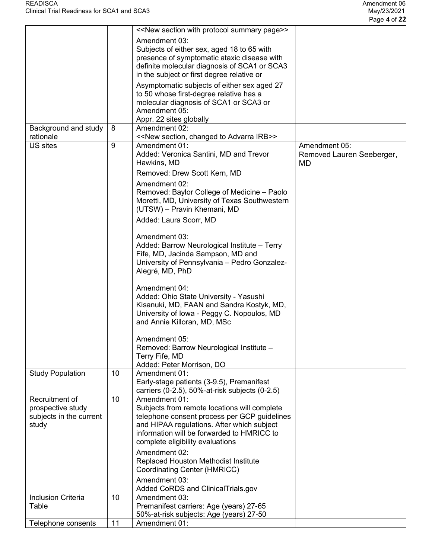|                           |    | < <new page="" protocol="" section="" summary="" with="">&gt;</new> |                           |
|---------------------------|----|---------------------------------------------------------------------|---------------------------|
|                           |    |                                                                     |                           |
|                           |    | Amendment 03:                                                       |                           |
|                           |    | Subjects of either sex, aged 18 to 65 with                          |                           |
|                           |    | presence of symptomatic ataxic disease with                         |                           |
|                           |    | definite molecular diagnosis of SCA1 or SCA3                        |                           |
|                           |    | in the subject or first degree relative or                          |                           |
|                           |    | Asymptomatic subjects of either sex aged 27                         |                           |
|                           |    | to 50 whose first-degree relative has a                             |                           |
|                           |    | molecular diagnosis of SCA1 or SCA3 or                              |                           |
|                           |    | Amendment 05:                                                       |                           |
|                           |    | Appr. 22 sites globally                                             |                           |
| Background and study      | 8  | Amendment 02:                                                       |                           |
| rationale                 |    | < <new advarra="" changed="" irb="" section,="" to="">&gt;</new>    |                           |
| US sites                  | 9  | Amendment 01:                                                       | Amendment 05:             |
|                           |    | Added: Veronica Santini, MD and Trevor                              | Removed Lauren Seeberger, |
|                           |    |                                                                     |                           |
|                           |    | Hawkins, MD                                                         | MD                        |
|                           |    | Removed: Drew Scott Kern, MD                                        |                           |
|                           |    | Amendment 02:                                                       |                           |
|                           |    | Removed: Baylor College of Medicine - Paolo                         |                           |
|                           |    | Moretti, MD, University of Texas Southwestern                       |                           |
|                           |    | (UTSW) - Pravin Khemani, MD                                         |                           |
|                           |    | Added: Laura Scorr, MD                                              |                           |
|                           |    |                                                                     |                           |
|                           |    | Amendment 03:                                                       |                           |
|                           |    | Added: Barrow Neurological Institute - Terry                        |                           |
|                           |    | Fife, MD, Jacinda Sampson, MD and                                   |                           |
|                           |    | University of Pennsylvania - Pedro Gonzalez-                        |                           |
|                           |    | Alegré, MD, PhD                                                     |                           |
|                           |    |                                                                     |                           |
|                           |    | Amendment 04:                                                       |                           |
|                           |    | Added: Ohio State University - Yasushi                              |                           |
|                           |    | Kisanuki, MD, FAAN and Sandra Kostyk, MD,                           |                           |
|                           |    | University of Iowa - Peggy C. Nopoulos, MD                          |                           |
|                           |    | and Annie Killoran, MD, MSc                                         |                           |
|                           |    |                                                                     |                           |
|                           |    | Amendment 05:                                                       |                           |
|                           |    | Removed: Barrow Neurological Institute -                            |                           |
|                           |    | Terry Fife, MD                                                      |                           |
|                           |    | Added: Peter Morrison, DO                                           |                           |
| <b>Study Population</b>   | 10 | Amendment 01:                                                       |                           |
|                           |    |                                                                     |                           |
|                           |    | Early-stage patients (3-9.5), Premanifest                           |                           |
|                           | 10 | carriers (0-2.5), 50%-at-risk subjects (0-2.5)                      |                           |
| Recruitment of            |    | Amendment 01:                                                       |                           |
| prospective study         |    | Subjects from remote locations will complete                        |                           |
| subjects in the current   |    | telephone consent process per GCP guidelines                        |                           |
| study                     |    | and HIPAA regulations. After which subject                          |                           |
|                           |    | information will be forwarded to HMRICC to                          |                           |
|                           |    | complete eligibility evaluations                                    |                           |
|                           |    | Amendment 02:                                                       |                           |
|                           |    | Replaced Houston Methodist Institute                                |                           |
|                           |    | Coordinating Center (HMRICC)                                        |                           |
|                           |    | Amendment 03:                                                       |                           |
|                           |    | Added CoRDS and ClinicalTrials.gov                                  |                           |
| <b>Inclusion Criteria</b> | 10 | Amendment 03:                                                       |                           |
| Table                     |    | Premanifest carriers: Age (years) 27-65                             |                           |
|                           |    |                                                                     |                           |
|                           |    | 50%-at-risk subjects: Age (years) 27-50                             |                           |
| Telephone consents        | 11 | Amendment 01:                                                       |                           |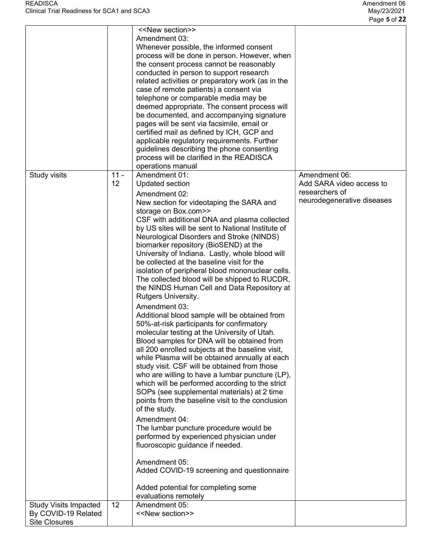|                                                                             |              | < <new section="">&gt;<br/>Amendment 03:<br/>Whenever possible, the informed consent<br/>process will be done in person. However, when<br/>the consent process cannot be reasonably<br/>conducted in person to support research<br/>related activities or preparatory work (as in the<br/>case of remote patients) a consent via<br/>telephone or comparable media may be<br/>deemed appropriate. The consent process will<br/>be documented, and accompanying signature<br/>pages will be sent via facsimile, email or<br/>certified mail as defined by ICH, GCP and<br/>applicable regulatory requirements. Further<br/>guidelines describing the phone consenting</new>                                                                                                                                                                                                                                                                                                                                                                                                                                                                                                                                                                                                                                                                                                                                                                                                 |                                                                                           |
|-----------------------------------------------------------------------------|--------------|----------------------------------------------------------------------------------------------------------------------------------------------------------------------------------------------------------------------------------------------------------------------------------------------------------------------------------------------------------------------------------------------------------------------------------------------------------------------------------------------------------------------------------------------------------------------------------------------------------------------------------------------------------------------------------------------------------------------------------------------------------------------------------------------------------------------------------------------------------------------------------------------------------------------------------------------------------------------------------------------------------------------------------------------------------------------------------------------------------------------------------------------------------------------------------------------------------------------------------------------------------------------------------------------------------------------------------------------------------------------------------------------------------------------------------------------------------------------------|-------------------------------------------------------------------------------------------|
|                                                                             |              | process will be clarified in the READISCA                                                                                                                                                                                                                                                                                                                                                                                                                                                                                                                                                                                                                                                                                                                                                                                                                                                                                                                                                                                                                                                                                                                                                                                                                                                                                                                                                                                                                                  |                                                                                           |
|                                                                             |              | operations manual                                                                                                                                                                                                                                                                                                                                                                                                                                                                                                                                                                                                                                                                                                                                                                                                                                                                                                                                                                                                                                                                                                                                                                                                                                                                                                                                                                                                                                                          |                                                                                           |
| Study visits                                                                | $11 -$<br>12 | Amendment 01:<br><b>Updated section</b><br>Amendment 02:<br>New section for videotaping the SARA and<br>storage on Box.com>><br>CSF with additional DNA and plasma collected<br>by US sites will be sent to National Institute of<br>Neurological Disorders and Stroke (NINDS)<br>biomarker repository (BioSEND) at the<br>University of Indiana. Lastly, whole blood will<br>be collected at the baseline visit for the<br>isolation of peripheral blood mononuclear cells.<br>The collected blood will be shipped to RUCDR,<br>the NINDS Human Cell and Data Repository at<br>Rutgers University.<br>Amendment 03:<br>Additional blood sample will be obtained from<br>50%-at-risk participants for confirmatory<br>molecular testing at the University of Utah.<br>Blood samples for DNA will be obtained from<br>all 200 enrolled subjects at the baseline visit,<br>while Plasma will be obtained annually at each<br>study visit. CSF will be obtained from those<br>who are willing to have a lumbar puncture (LP),<br>which will be performed according to the strict<br>SOPs (see supplemental materials) at 2 time<br>points from the baseline visit to the conclusion<br>of the study.<br>Amendment 04:<br>The lumbar puncture procedure would be<br>performed by experienced physician under<br>fluoroscopic guidance if needed.<br>Amendment 05:<br>Added COVID-19 screening and questionnaire<br>Added potential for completing some<br>evaluations remotely | Amendment 06:<br>Add SARA video access to<br>researchers of<br>neurodegenerative diseases |
|                                                                             |              |                                                                                                                                                                                                                                                                                                                                                                                                                                                                                                                                                                                                                                                                                                                                                                                                                                                                                                                                                                                                                                                                                                                                                                                                                                                                                                                                                                                                                                                                            |                                                                                           |
| <b>Study Visits Impacted</b><br>By COVID-19 Related<br><b>Site Closures</b> | 12           | Amendment 05:<br>< <new section="">&gt;</new>                                                                                                                                                                                                                                                                                                                                                                                                                                                                                                                                                                                                                                                                                                                                                                                                                                                                                                                                                                                                                                                                                                                                                                                                                                                                                                                                                                                                                              |                                                                                           |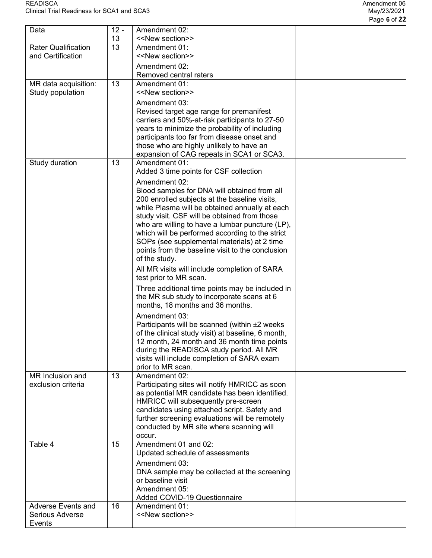| Data                       | $12 -$<br>13 | Amendment 02:<br>< <new section="">&gt;</new>                                                  |  |
|----------------------------|--------------|------------------------------------------------------------------------------------------------|--|
| <b>Rater Qualification</b> | 13           | Amendment 01:                                                                                  |  |
| and Certification          |              | < <new section="">&gt;</new>                                                                   |  |
|                            |              | Amendment 02:                                                                                  |  |
|                            |              | Removed central raters                                                                         |  |
| MR data acquisition:       | 13           | Amendment 01:                                                                                  |  |
| Study population           |              | < <new section="">&gt;</new>                                                                   |  |
|                            |              | Amendment 03:<br>Revised target age range for premanifest                                      |  |
|                            |              | carriers and 50%-at-risk participants to 27-50                                                 |  |
|                            |              | years to minimize the probability of including                                                 |  |
|                            |              | participants too far from disease onset and                                                    |  |
|                            |              | those who are highly unlikely to have an                                                       |  |
|                            | 13           | expansion of CAG repeats in SCA1 or SCA3.<br>Amendment 01:                                     |  |
| Study duration             |              | Added 3 time points for CSF collection                                                         |  |
|                            |              | Amendment 02:                                                                                  |  |
|                            |              | Blood samples for DNA will obtained from all                                                   |  |
|                            |              | 200 enrolled subjects at the baseline visits,                                                  |  |
|                            |              | while Plasma will be obtained annually at each<br>study visit. CSF will be obtained from those |  |
|                            |              | who are willing to have a lumbar puncture (LP),                                                |  |
|                            |              | which will be performed according to the strict                                                |  |
|                            |              | SOPs (see supplemental materials) at 2 time                                                    |  |
|                            |              | points from the baseline visit to the conclusion<br>of the study.                              |  |
|                            |              | All MR visits will include completion of SARA                                                  |  |
|                            |              | test prior to MR scan.                                                                         |  |
|                            |              | Three additional time points may be included in                                                |  |
|                            |              | the MR sub study to incorporate scans at 6<br>months, 18 months and 36 months.                 |  |
|                            |              | Amendment 03:                                                                                  |  |
|                            |              | Participants will be scanned (within ±2 weeks                                                  |  |
|                            |              | of the clinical study visit) at baseline, 6 month,                                             |  |
|                            |              | 12 month, 24 month and 36 month time points                                                    |  |
|                            |              | during the READISCA study period. All MR                                                       |  |
|                            |              | visits will include completion of SARA exam<br>prior to MR scan.                               |  |
| MR Inclusion and           | 13           | Amendment 02:                                                                                  |  |
| exclusion criteria         |              | Participating sites will notify HMRICC as soon                                                 |  |
|                            |              | as potential MR candidate has been identified.                                                 |  |
|                            |              | HMRICC will subsequently pre-screen                                                            |  |
|                            |              | candidates using attached script. Safety and<br>further screening evaluations will be remotely |  |
|                            |              | conducted by MR site where scanning will                                                       |  |
|                            |              | occur.                                                                                         |  |
| Table 4                    | 15           | Amendment 01 and 02:                                                                           |  |
|                            |              | Updated schedule of assessments                                                                |  |
|                            |              | Amendment 03:                                                                                  |  |
|                            |              | DNA sample may be collected at the screening<br>or baseline visit                              |  |
|                            |              | Amendment 05:                                                                                  |  |
|                            |              | <b>Added COVID-19 Questionnaire</b>                                                            |  |
| <b>Adverse Events and</b>  | 16           | Amendment 01:                                                                                  |  |
| Serious Adverse<br>Events  |              | < <new section="">&gt;</new>                                                                   |  |
|                            |              |                                                                                                |  |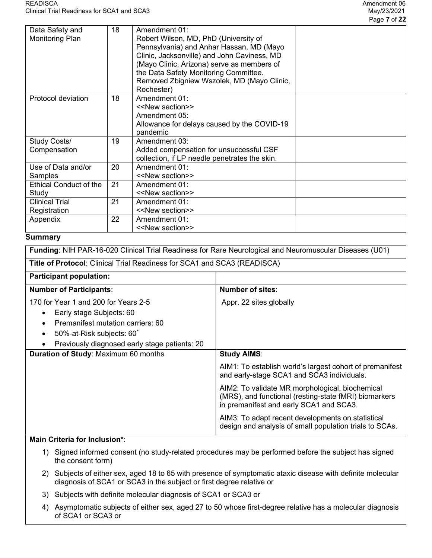|                                           |    |                                                                                                                                                                                                                                                                                                      | Page 7 of 22 |
|-------------------------------------------|----|------------------------------------------------------------------------------------------------------------------------------------------------------------------------------------------------------------------------------------------------------------------------------------------------------|--------------|
| Data Safety and<br><b>Monitoring Plan</b> | 18 | Amendment 01:<br>Robert Wilson, MD, PhD (University of<br>Pennsylvania) and Anhar Hassan, MD (Mayo<br>Clinic, Jacksonville) and John Caviness, MD<br>(Mayo Clinic, Arizona) serve as members of<br>the Data Safety Monitoring Committee.<br>Removed Zbigniew Wszolek, MD (Mayo Clinic,<br>Rochester) |              |
| Protocol deviation                        | 18 | Amendment 01:<br>< <new section="">&gt;<br/>Amendment 05:<br/>Allowance for delays caused by the COVID-19<br/>pandemic</new>                                                                                                                                                                         |              |
| Study Costs/<br>Compensation              | 19 | Amendment 03:<br>Added compensation for unsuccessful CSF<br>collection, if LP needle penetrates the skin.                                                                                                                                                                                            |              |
| Use of Data and/or<br>Samples             | 20 | Amendment 01:<br>< <new section="">&gt;</new>                                                                                                                                                                                                                                                        |              |
| <b>Ethical Conduct of the</b><br>Study    | 21 | Amendment 01:<br>< <new section="">&gt;</new>                                                                                                                                                                                                                                                        |              |
| <b>Clinical Trial</b><br>Registration     | 21 | Amendment 01:<br>< <new section="">&gt;</new>                                                                                                                                                                                                                                                        |              |
| Appendix                                  | 22 | Amendment 01:<br>< <new section="">&gt;</new>                                                                                                                                                                                                                                                        |              |

## **Summary**

| Funding: NIH PAR-16-020 Clinical Trial Readiness for Rare Neurological and Neuromuscular Diseases (U01)                                                                                                                                |                                                                                                                                                     |  |  |  |  |  |
|----------------------------------------------------------------------------------------------------------------------------------------------------------------------------------------------------------------------------------------|-----------------------------------------------------------------------------------------------------------------------------------------------------|--|--|--|--|--|
|                                                                                                                                                                                                                                        | <b>Title of Protocol:</b> Clinical Trial Readiness for SCA1 and SCA3 (READISCA)                                                                     |  |  |  |  |  |
| <b>Participant population:</b>                                                                                                                                                                                                         |                                                                                                                                                     |  |  |  |  |  |
| <b>Number of Participants:</b>                                                                                                                                                                                                         | <b>Number of sites:</b>                                                                                                                             |  |  |  |  |  |
| 170 for Year 1 and 200 for Years 2-5<br>Early stage Subjects: 60<br>$\bullet$<br>Premanifest mutation carriers: 60<br>$\bullet$<br>50%-at-Risk subjects: 60 <sup>*</sup><br>$\bullet$<br>Previously diagnosed early stage patients: 20 | Appr. 22 sites globally                                                                                                                             |  |  |  |  |  |
| <b>Duration of Study: Maximum 60 months</b>                                                                                                                                                                                            | <b>Study AIMS:</b>                                                                                                                                  |  |  |  |  |  |
|                                                                                                                                                                                                                                        | AIM1: To establish world's largest cohort of premanifest<br>and early-stage SCA1 and SCA3 individuals.                                              |  |  |  |  |  |
|                                                                                                                                                                                                                                        | AIM2: To validate MR morphological, biochemical<br>(MRS), and functional (resting-state fMRI) biomarkers<br>in premanifest and early SCA1 and SCA3. |  |  |  |  |  |
|                                                                                                                                                                                                                                        | AIM3: To adapt recent developments on statistical<br>design and analysis of small population trials to SCAs.                                        |  |  |  |  |  |

# Main Criteria for Inclusion\*:

- 1) Signed informed consent (no study-related procedures may be performed before the subject has signed the consent form)
- 2) Subjects of either sex, aged 18 to 65 with presence of symptomatic ataxic disease with definite molecular diagnosis of SCA1 or SCA3 in the subject or first degree relative or
- 3) Subjects with definite molecular diagnosis of SCA1 or SCA3 or
- 4) Asymptomatic subjects of either sex, aged 27 to 50 whose first-degree relative has a molecular diagnosis of SCA1 or SCA3 or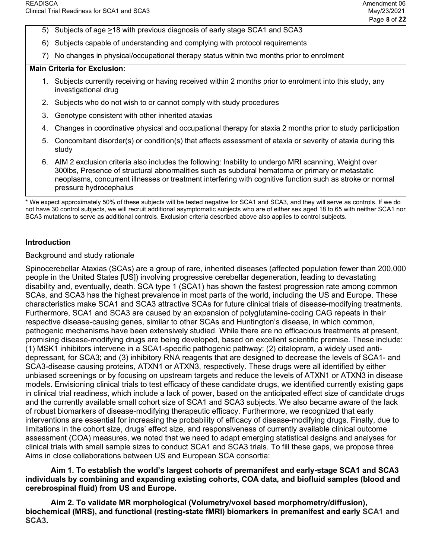- 5) Subjects of age >18 with previous diagnosis of early stage SCA1 and SCA3
- 6) Subjects capable of understanding and complying with protocol requirements
- 7) No changes in physical/occupational therapy status within two months prior to enrolment

#### Main Criteria for Exclusion:

- 1. Subjects currently receiving or having received within 2 months prior to enrolment into this study, any investigational drug
- 2. Subjects who do not wish to or cannot comply with study procedures
- 3. Genotype consistent with other inherited ataxias
- 4. Changes in coordinative physical and occupational therapy for ataxia 2 months prior to study participation
- 5. Concomitant disorder(s) or condition(s) that affects assessment of ataxia or severity of ataxia during this study
- 6. AIM 2 exclusion criteria also includes the following: Inability to undergo MRI scanning, Weight over 300lbs, Presence of structural abnormalities such as subdural hematoma or primary or metastatic neoplasms, concurrent illnesses or treatment interfering with cognitive function such as stroke or normal pressure hydrocephalus

\* We expect approximately 50% of these subjects will be tested negative for SCA1 and SCA3, and they will serve as controls. If we do not have 30 control subjects, we will recruit additional asymptomatic subjects who are of either sex aged 18 to 65 with neither SCA1 nor SCA3 mutations to serve as additional controls. Exclusion criteria described above also applies to control subjects.

## Introduction

#### Background and study rationale

Spinocerebellar Ataxias (SCAs) are a group of rare, inherited diseases (affected population fewer than 200,000 people in the United States [US]) involving progressive cerebellar degeneration, leading to devastating disability and, eventually, death. SCA type 1 (SCA1) has shown the fastest progression rate among common SCAs, and SCA3 has the highest prevalence in most parts of the world, including the US and Europe. These characteristics make SCA1 and SCA3 attractive SCAs for future clinical trials of disease-modifying treatments. Furthermore, SCA1 and SCA3 are caused by an expansion of polyglutamine-coding CAG repeats in their respective disease-causing genes, similar to other SCAs and Huntington's disease, in which common, pathogenic mechanisms have been extensively studied. While there are no efficacious treatments at present, promising disease-modifying drugs are being developed, based on excellent scientific premise. These include: (1) MSK1 inhibitors intervene in a SCA1-specific pathogenic pathway; (2) citalopram, a widely used antidepressant, for SCA3; and (3) inhibitory RNA reagents that are designed to decrease the levels of SCA1- and SCA3-disease causing proteins, ATXN1 or ATXN3, respectively. These drugs were all identified by either unbiased screenings or by focusing on upstream targets and reduce the levels of ATXN1 or ATXN3 in disease models. Envisioning clinical trials to test efficacy of these candidate drugs, we identified currently existing gaps in clinical trial readiness, which include a lack of power, based on the anticipated effect size of candidate drugs and the currently available small cohort size of SCA1 and SCA3 subjects. We also became aware of the lack of robust biomarkers of disease-modifying therapeutic efficacy. Furthermore, we recognized that early interventions are essential for increasing the probability of efficacy of disease-modifying drugs. Finally, due to limitations in the cohort size, drugs' effect size, and responsiveness of currently available clinical outcome assessment (COA) measures, we noted that we need to adapt emerging statistical designs and analyses for clinical trials with small sample sizes to conduct SCA1 and SCA3 trials. To fill these gaps, we propose three Aims in close collaborations between US and European SCA consortia:

#### Aim 1. To establish the world's largest cohorts of premanifest and early-stage SCA1 and SCA3 individuals by combining and expanding existing cohorts, COA data, and biofluid samples (blood and cerebrospinal fluid) from US and Europe.

 Aim 2. To validate MR morphological (Volumetry/voxel based morphometry/diffusion), biochemical (MRS), and functional (resting-state fMRI) biomarkers in premanifest and early SCA1 and SCA3.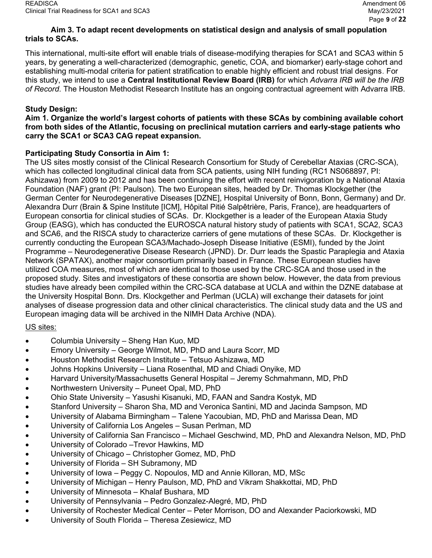# Aim 3. To adapt recent developments on statistical design and analysis of small population trials to SCAs.

This international, multi-site effort will enable trials of disease-modifying therapies for SCA1 and SCA3 within 5 years, by generating a well-characterized (demographic, genetic, COA, and biomarker) early-stage cohort and establishing multi-modal criteria for patient stratification to enable highly efficient and robust trial designs. For this study, we intend to use a **Central Institutional Review Board (IRB)** for which Advarra IRB will be the IRB of Record. The Houston Methodist Research Institute has an ongoing contractual agreement with Advarra IRB.

## Study Design:

Aim 1. Organize the world's largest cohorts of patients with these SCAs by combining available cohort from both sides of the Atlantic, focusing on preclinical mutation carriers and early-stage patients who carry the SCA1 or SCA3 CAG repeat expansion.

## Participating Study Consortia in Aim 1:

The US sites mostly consist of the Clinical Research Consortium for Study of Cerebellar Ataxias (CRC-SCA), which has collected longitudinal clinical data from SCA patients, using NIH funding (RC1 NS068897, PI: Ashizawa) from 2009 to 2012 and has been continuing the effort with recent reinvigoration by a National Ataxia Foundation (NAF) grant (PI: Paulson). The two European sites, headed by Dr. Thomas Klockgether (the German Center for Neurodegenerative Diseases [DZNE], Hospital University of Bonn, Bonn, Germany) and Dr. Alexandra Durr (Brain & Spine Institute [ICM], Hôpital Pitié Salpêtrière, Paris, France), are headquarters of European consortia for clinical studies of SCAs. Dr. Klockgether is a leader of the European Ataxia Study Group (EASG), which has conducted the EUROSCA natural history study of patients with SCA1, SCA2, SCA3 and SCA6, and the RISCA study to characterize carriers of gene mutations of these SCAs. Dr. Klockgether is currently conducting the European SCA3/Machado-Joseph Disease Initiative (ESMI), funded by the Joint Programme – Neurodegenerative Disease Research (JPND). Dr. Durr leads the Spastic Paraplegia and Ataxia Network (SPATAX), another major consortium primarily based in France. These European studies have utilized COA measures, most of which are identical to those used by the CRC-SCA and those used in the proposed study. Sites and investigators of these consortia are shown below. However, the data from previous studies have already been compiled within the CRC-SCA database at UCLA and within the DZNE database at the University Hospital Bonn. Drs. Klockgether and Perlman (UCLA) will exchange their datasets for joint analyses of disease progression data and other clinical characteristics. The clinical study data and the US and European imaging data will be archived in the NIMH Data Archive (NDA).

# US sites:

- Columbia University Sheng Han Kuo, MD
- Emory University George Wilmot, MD, PhD and Laura Scorr, MD
- Houston Methodist Research Institute Tetsuo Ashizawa, MD
- Johns Hopkins University Liana Rosenthal, MD and Chiadi Onyike, MD
- Harvard University/Massachusetts General Hospital Jeremy Schmahmann, MD, PhD
- Northwestern University Puneet Opal, MD, PhD
- Ohio State University Yasushi Kisanuki, MD, FAAN and Sandra Kostyk, MD
- Stanford University Sharon Sha, MD and Veronica Santini, MD and Jacinda Sampson, MD
- University of Alabama Birmingham Talene Yacoubian, MD, PhD and Marissa Dean, MD
- University of California Los Angeles Susan Perlman, MD
- University of California San Francisco Michael Geschwind, MD, PhD and Alexandra Nelson, MD, PhD
- University of Colorado –Trevor Hawkins, MD
- University of Chicago Christopher Gomez, MD, PhD
- University of Florida SH Subramony, MD
- University of Iowa Peggy C. Nopoulos, MD and Annie Killoran, MD, MSc
- University of Michigan Henry Paulson, MD, PhD and Vikram Shakkottai, MD, PhD
- University of Minnesota Khalaf Bushara, MD
- University of Pennsylvania Pedro Gonzalez-Alegré, MD, PhD
- University of Rochester Medical Center Peter Morrison, DO and Alexander Paciorkowski, MD
- University of South Florida Theresa Zesiewicz, MD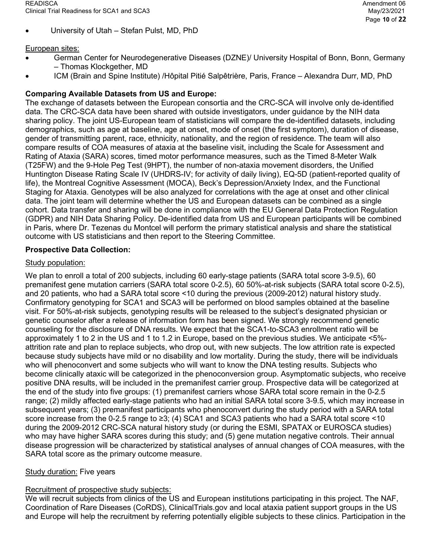University of Utah – Stefan Pulst, MD, PhD

## European sites:

- German Center for Neurodegenerative Diseases (DZNE)/ University Hospital of Bonn, Bonn, Germany – Thomas Klockgether, MD
- ICM (Brain and Spine Institute) /Hôpital Pitié Salpêtrière, Paris, France Alexandra Durr, MD, PhD

## Comparing Available Datasets from US and Europe:

The exchange of datasets between the European consortia and the CRC-SCA will involve only de-identified data. The CRC-SCA data have been shared with outside investigators, under guidance by the NIH data sharing policy. The joint US-European team of statisticians will compare the de-identified datasets, including demographics, such as age at baseline, age at onset, mode of onset (the first symptom), duration of disease, gender of transmitting parent, race, ethnicity, nationality, and the region of residence. The team will also compare results of COA measures of ataxia at the baseline visit, including the Scale for Assessment and Rating of Ataxia (SARA) scores, timed motor performance measures, such as the Timed 8-Meter Walk (T25FW) and the 9-Hole Peg Test (9HPT), the number of non-ataxia movement disorders, the Unified Huntington Disease Rating Scale IV (UHDRS-IV; for activity of daily living), EQ-5D (patient-reported quality of life), the Montreal Cognitive Assessment (MOCA), Beck's Depression/Anxiety Index, and the Functional Staging for Ataxia. Genotypes will be also analyzed for correlations with the age at onset and other clinical data. The joint team will determine whether the US and European datasets can be combined as a single cohort. Data transfer and sharing will be done in compliance with the EU General Data Protection Regulation (GDPR) and NIH Data Sharing Policy. De-identified data from US and European participants will be combined in Paris, where Dr. Tezenas du Montcel will perform the primary statistical analysis and share the statistical outcome with US statisticians and then report to the Steering Committee.

## Prospective Data Collection:

## Study population:

We plan to enroll a total of 200 subjects, including 60 early-stage patients (SARA total score 3-9.5), 60 premanifest gene mutation carriers (SARA total score 0-2.5), 60 50%-at-risk subjects (SARA total score 0-2.5), and 20 patients, who had a SARA total score <10 during the previous (2009-2012) natural history study. Confirmatory genotyping for SCA1 and SCA3 will be performed on blood samples obtained at the baseline visit. For 50%-at-risk subjects, genotyping results will be released to the subject's designated physician or genetic counselor after a release of information form has been signed. We strongly recommend genetic counseling for the disclosure of DNA results. We expect that the SCA1-to-SCA3 enrollment ratio will be approximately 1 to 2 in the US and 1 to 1.2 in Europe, based on the previous studies. We anticipate <5% attrition rate and plan to replace subjects, who drop out, with new subjects. The low attrition rate is expected because study subjects have mild or no disability and low mortality. During the study, there will be individuals who will phenoconvert and some subjects who will want to know the DNA testing results. Subjects who become clinically ataxic will be categorized in the phenoconversion group. Asymptomatic subjects, who receive positive DNA results, will be included in the premanifest carrier group. Prospective data will be categorized at the end of the study into five groups: (1) premanifest carriers whose SARA total score remain in the 0-2.5 range; (2) mildly affected early-stage patients who had an initial SARA total score 3-9.5, which may increase in subsequent years; (3) premanifest participants who phenoconvert during the study period with a SARA total score increase from the 0-2.5 range to ≥3; (4) SCA1 and SCA3 patients who had a SARA total score <10 during the 2009-2012 CRC-SCA natural history study (or during the ESMI, SPATAX or EUROSCA studies) who may have higher SARA scores during this study; and (5) gene mutation negative controls. Their annual disease progression will be characterized by statistical analyses of annual changes of COA measures, with the SARA total score as the primary outcome measure.

## **Study duration: Five years**

## Recruitment of prospective study subjects:

We will recruit subjects from clinics of the US and European institutions participating in this project. The NAF, Coordination of Rare Diseases (CoRDS), ClinicalTrials.gov and local ataxia patient support groups in the US and Europe will help the recruitment by referring potentially eligible subjects to these clinics. Participation in the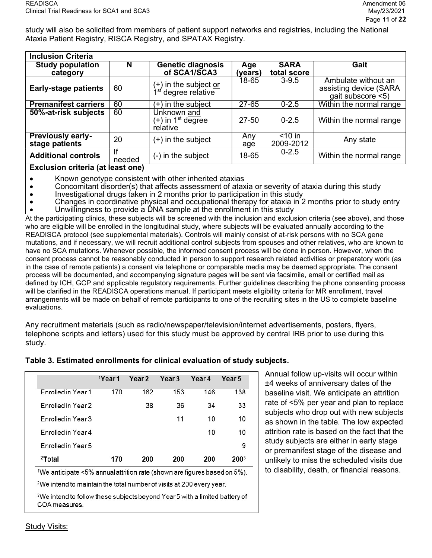study will also be solicited from members of patient support networks and registries, including the National Ataxia Patient Registry, RISCA Registry, and SPATAX Registry.

| <b>Inclusion Criteria</b>                  |        |                                                                 |                |                            |                                                                       |
|--------------------------------------------|--------|-----------------------------------------------------------------|----------------|----------------------------|-----------------------------------------------------------------------|
| <b>Study population</b><br>category        | N      | <b>Genetic diagnosis</b><br>of SCA1/SCA3                        | Age<br>(years) | <b>SARA</b><br>total score | Gait                                                                  |
| <b>Early-stage patients</b>                | 60     | (+) in the subject <u>or</u><br>1 <sup>st</sup> degree relative | 18-65          | $3 - 9.5$                  | Ambulate without an<br>assisting device (SARA<br>$g$ ait subscore <5) |
| <b>Premanifest carriers</b>                | 60     | $(+)$ in the subject                                            | $27 - 65$      | $0 - 2.5$                  | Within the normal range                                               |
| 50%-at-risk subjects                       | 60     | Unknown and<br>(+) in 1 <sup>st</sup> degree<br>relative        | 27-50          | $0 - 2.5$                  | Within the normal range                                               |
| <b>Previously early-</b><br>stage patients | 20     | $(+)$ in the subject                                            | Any<br>age     | $<$ 10 in<br>2009-2012     | Any state                                                             |
| <b>Additional controls</b>                 | needed | (-) in the subject                                              | 18-65          | $0 - 2.5$                  | Within the normal range                                               |
| Evelucion critoria (at loget one)          |        |                                                                 |                |                            |                                                                       |

#### Exclusion criteria (at least one)

- Known genotype consistent with other inherited ataxias
- Concomitant disorder(s) that affects assessment of ataxia or severity of ataxia during this study
- Investigational drugs taken in 2 months prior to participation in this study
- Changes in coordinative physical and occupational therapy for ataxia in 2 months prior to study entry Unwillingness to provide a DNA sample at the enrollment in this study

At the participating clinics, these subjects will be screened with the inclusion and exclusion criteria (see above), and those who are eligible will be enrolled in the longitudinal study, where subjects will be evaluated annually according to the READISCA protocol (see supplemental materials). Controls will mainly consist of at-risk persons with no SCA gene mutations, and if necessary, we will recruit additional control subjects from spouses and other relatives, who are known to have no SCA mutations. Whenever possible, the informed consent process will be done in person. However, when the consent process cannot be reasonably conducted in person to support research related activities or preparatory work (as in the case of remote patients) a consent via telephone or comparable media may be deemed appropriate. The consent process will be documented, and accompanying signature pages will be sent via facsimile, email or certified mail as defined by ICH, GCP and applicable regulatory requirements. Further guidelines describing the phone consenting process will be clarified in the READISCA operations manual. If participant meets eligibility criteria for MR enrollment, travel arrangements will be made on behalf of remote participants to one of the recruiting sites in the US to complete baseline evaluations.

Any recruitment materials (such as radio/newspaper/television/internet advertisements, posters, flyers, telephone scripts and letters) used for this study must be approved by central IRB prior to use during this study.

|  |                                |  | ∣ Ann                              |
|--|--------------------------------|--|------------------------------------|
|  | 'Year1 Year2 Year3 Year4 Year5 |  | $\sim$ $\sim$ $\sim$ $\sim$ $\sim$ |

Table 3. Estimated enrollments for clinical evaluation of study subjects.

| <sup>2</sup> Total | 170                 | 200               | 200               | 200    | 2003   |
|--------------------|---------------------|-------------------|-------------------|--------|--------|
| Enrolled in Year 5 |                     |                   |                   |        | 9      |
| Enrolled in Year 4 |                     |                   |                   | 10     | 10     |
| Enrolled in Year 3 |                     |                   | 11                | 10     | 10     |
| Enrolled in Year 2 |                     | 38                | 36                | 34     | 33     |
| Enrolled in Year 1 | 170                 | 162               | 153               | 146    | 138    |
|                    | <sup>1</sup> Year 1 | Year <sub>2</sub> | Year <sub>3</sub> | Year 4 | Year 5 |

1We anticipate <5% annual attrition rate (shown are figures based on 5%).

<sup>2</sup>We intend to maintain the total number of visits at 200 every year.

<sup>3</sup>We intend to follow these subjects beyond Year 5 with a limited battery of COA measures.

ual follow up-visits will occur within ±4 weeks of anniversary dates of the baseline visit. We anticipate an attrition rate of <5% per year and plan to replace subjects who drop out with new subjects as shown in the table. The low expected attrition rate is based on the fact that the study subjects are either in early stage or premanifest stage of the disease and unlikely to miss the scheduled visits due to disability, death, or financial reasons.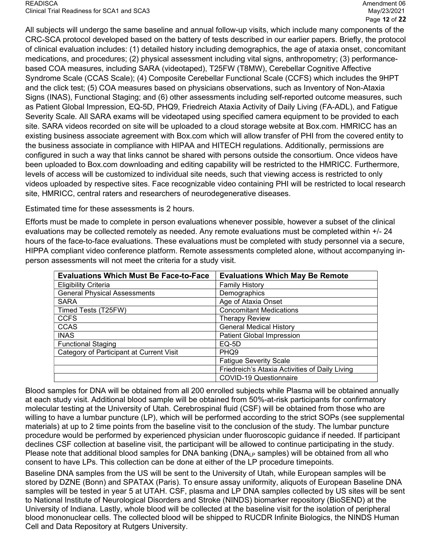READISCA Amendment 06 Clinical Trial Readiness for SCA1 and SCA3 May/23/2021

All subjects will undergo the same baseline and annual follow-up visits, which include many components of the CRC-SCA protocol developed based on the battery of tests described in our earlier papers. Briefly, the protocol of clinical evaluation includes: (1) detailed history including demographics, the age of ataxia onset, concomitant medications, and procedures; (2) physical assessment including vital signs, anthropometry; (3) performancebased COA measures, including SARA (videotaped), T25FW (T8MW), Cerebellar Cognitive Affective Syndrome Scale (CCAS Scale); (4) Composite Cerebellar Functional Scale (CCFS) which includes the 9HPT and the click test; (5) COA measures based on physicians observations, such as Inventory of Non-Ataxia Signs (INAS), Functional Staging; and (6) other assessments including self-reported outcome measures, such as Patient Global Impression, EQ-5D, PHQ9, Friedreich Ataxia Activity of Daily Living (FA-ADL), and Fatigue Severity Scale. All SARA exams will be videotaped using specified camera equipment to be provided to each site. SARA videos recorded on site will be uploaded to a cloud storage website at Box.com. HMRICC has an existing business associate agreement with Box.com which will allow transfer of PHI from the covered entity to the business associate in compliance with HIPAA and HITECH regulations. Additionally, permissions are configured in such a way that links cannot be shared with persons outside the consortium. Once videos have been uploaded to Box.com downloading and editing capability will be restricted to the HMRICC. Furthermore, levels of access will be customized to individual site needs, such that viewing access is restricted to only videos uploaded by respective sites. Face recognizable video containing PHI will be restricted to local research site, HMRICC, central raters and researchers of neurodegenerative diseases.

Estimated time for these assessments is 2 hours.

Efforts must be made to complete in person evaluations whenever possible, however a subset of the clinical evaluations may be collected remotely as needed. Any remote evaluations must be completed within +/- 24 hours of the face-to-face evaluations. These evaluations must be completed with study personnel via a secure, HIPPA compliant video conference platform. Remote assessments completed alone, without accompanying inperson assessments will not meet the criteria for a study visit.

| <b>Evaluations Which Must Be Face-to-Face</b> | <b>Evaluations Which May Be Remote</b>         |
|-----------------------------------------------|------------------------------------------------|
| <b>Eligibility Criteria</b>                   | <b>Family History</b>                          |
| <b>General Physical Assessments</b>           | Demographics                                   |
| <b>SARA</b>                                   | Age of Ataxia Onset                            |
| Timed Tests (T25FW)                           | <b>Concomitant Medications</b>                 |
| <b>CCFS</b>                                   | <b>Therapy Review</b>                          |
| <b>CCAS</b>                                   | <b>General Medical History</b>                 |
| <b>INAS</b>                                   | <b>Patient Global Impression</b>               |
| <b>Functional Staging</b>                     | EQ-5D                                          |
| Category of Participant at Current Visit      | PHQ <sub>9</sub>                               |
|                                               | <b>Fatigue Severity Scale</b>                  |
|                                               | Friedreich's Ataxia Activities of Daily Living |
|                                               | <b>COVID-19 Questionnaire</b>                  |

Blood samples for DNA will be obtained from all 200 enrolled subjects while Plasma will be obtained annually at each study visit. Additional blood sample will be obtained from 50%-at-risk participants for confirmatory molecular testing at the University of Utah. Cerebrospinal fluid (CSF) will be obtained from those who are willing to have a lumbar puncture (LP), which will be performed according to the strict SOPs (see supplemental materials) at up to 2 time points from the baseline visit to the conclusion of the study. The lumbar puncture procedure would be performed by experienced physician under fluoroscopic guidance if needed. If participant declines CSF collection at baseline visit, the participant will be allowed to continue participating in the study. Please note that additional blood samples for DNA banking (DNA<sub>LP</sub> samples) will be obtained from all who consent to have LPs. This collection can be done at either of the LP procedure timepoints.

Baseline DNA samples from the US will be sent to the University of Utah, while European samples will be stored by DZNE (Bonn) and SPATAX (Paris). To ensure assay uniformity, aliquots of European Baseline DNA samples will be tested in year 5 at UTAH. CSF, plasma and LP DNA samples collected by US sites will be sent to National Institute of Neurological Disorders and Stroke (NINDS) biomarker repository (BioSEND) at the University of Indiana. Lastly, whole blood will be collected at the baseline visit for the isolation of peripheral blood mononuclear cells. The collected blood will be shipped to RUCDR Infinite Biologics, the NINDS Human Cell and Data Repository at Rutgers University.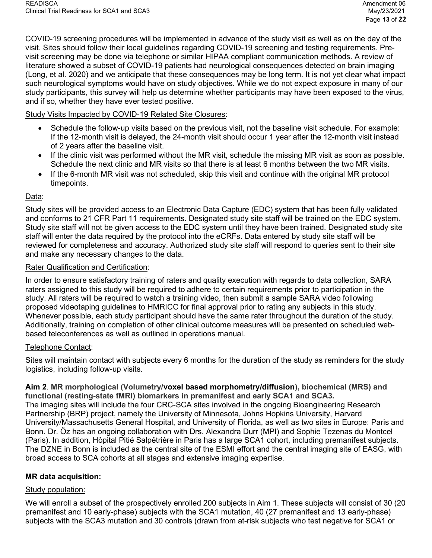COVID-19 screening procedures will be implemented in advance of the study visit as well as on the day of the visit. Sites should follow their local guidelines regarding COVID-19 screening and testing requirements. Previsit screening may be done via telephone or similar HIPAA compliant communication methods. A review of literature showed a subset of COVID-19 patients had neurological consequences detected on brain imaging (Long, et al. 2020) and we anticipate that these consequences may be long term. It is not yet clear what impact such neurological symptoms would have on study objectives. While we do not expect exposure in many of our study participants, this survey will help us determine whether participants may have been exposed to the virus, and if so, whether they have ever tested positive.

## Study Visits Impacted by COVID-19 Related Site Closures:

- Schedule the follow-up visits based on the previous visit, not the baseline visit schedule. For example: If the 12-month visit is delayed, the 24-month visit should occur 1 year after the 12-month visit instead of 2 years after the baseline visit.
- If the clinic visit was performed without the MR visit, schedule the missing MR visit as soon as possible. Schedule the next clinic and MR visits so that there is at least 6 months between the two MR visits.
- If the 6-month MR visit was not scheduled, skip this visit and continue with the original MR protocol timepoints.

## Data:

Study sites will be provided access to an Electronic Data Capture (EDC) system that has been fully validated and conforms to 21 CFR Part 11 requirements. Designated study site staff will be trained on the EDC system. Study site staff will not be given access to the EDC system until they have been trained. Designated study site staff will enter the data required by the protocol into the eCRFs. Data entered by study site staff will be reviewed for completeness and accuracy. Authorized study site staff will respond to queries sent to their site and make any necessary changes to the data.

## Rater Qualification and Certification:

In order to ensure satisfactory training of raters and quality execution with regards to data collection, SARA raters assigned to this study will be required to adhere to certain requirements prior to participation in the study. All raters will be required to watch a training video, then submit a sample SARA video following proposed videotaping guidelines to HMRICC for final approval prior to rating any subjects in this study. Whenever possible, each study participant should have the same rater throughout the duration of the study. Additionally, training on completion of other clinical outcome measures will be presented on scheduled webbased teleconferences as well as outlined in operations manual.

## Telephone Contact:

Sites will maintain contact with subjects every 6 months for the duration of the study as reminders for the study logistics, including follow-up visits.

#### Aim 2. MR morphological (Volumetry/voxel based morphometry/diffusion), biochemical (MRS) and functional (resting-state fMRI) biomarkers in premanifest and early SCA1 and SCA3.

The imaging sites will include the four CRC-SCA sites involved in the ongoing Bioengineering Research Partnership (BRP) project, namely the University of Minnesota, Johns Hopkins University, Harvard University/Massachusetts General Hospital, and University of Florida, as well as two sites in Europe: Paris and Bonn. Dr. Öz has an ongoing collaboration with Drs. Alexandra Durr (MPI) and Sophie Tezenas du Montcel (Paris). In addition, Hôpital Pitié Salpêtrière in Paris has a large SCA1 cohort, including premanifest subjects. The DZNE in Bonn is included as the central site of the ESMI effort and the central imaging site of EASG, with broad access to SCA cohorts at all stages and extensive imaging expertise.

# MR data acquisition:

# Study population:

We will enroll a subset of the prospectively enrolled 200 subjects in Aim 1. These subjects will consist of 30 (20 premanifest and 10 early-phase) subjects with the SCA1 mutation, 40 (27 premanifest and 13 early-phase) subjects with the SCA3 mutation and 30 controls (drawn from at-risk subjects who test negative for SCA1 or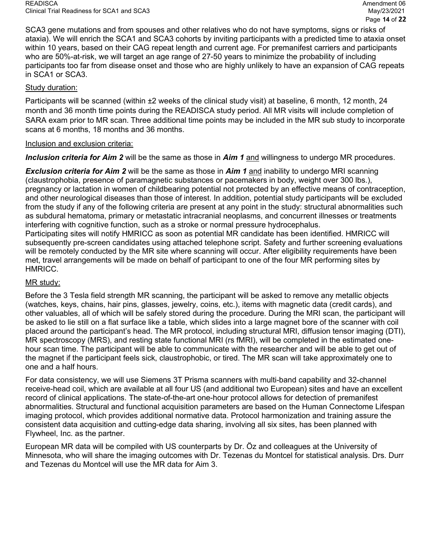SCA3 gene mutations and from spouses and other relatives who do not have symptoms, signs or risks of ataxia). We will enrich the SCA1 and SCA3 cohorts by inviting participants with a predicted time to ataxia onset within 10 years, based on their CAG repeat length and current age. For premanifest carriers and participants who are 50%-at-risk, we will target an age range of 27-50 years to minimize the probability of including participants too far from disease onset and those who are highly unlikely to have an expansion of CAG repeats in SCA1 or SCA3.

## Study duration:

Participants will be scanned (within ±2 weeks of the clinical study visit) at baseline, 6 month, 12 month, 24 month and 36 month time points during the READISCA study period. All MR visits will include completion of SARA exam prior to MR scan. Three additional time points may be included in the MR sub study to incorporate scans at 6 months, 18 months and 36 months.

## Inclusion and exclusion criteria:

Inclusion criteria for Aim 2 will be the same as those in Aim 1 and willingness to undergo MR procedures.

**Exclusion criteria for Aim 2** will be the same as those in Aim 1 and inability to undergo MRI scanning (claustrophobia, presence of paramagnetic substances or pacemakers in body, weight over 300 lbs.), pregnancy or lactation in women of childbearing potential not protected by an effective means of contraception, and other neurological diseases than those of interest. In addition, potential study participants will be excluded from the study if any of the following criteria are present at any point in the study: structural abnormalities such as subdural hematoma, primary or metastatic intracranial neoplasms, and concurrent illnesses or treatments interfering with cognitive function, such as a stroke or normal pressure hydrocephalus. Participating sites will notify HMRICC as soon as potential MR candidate has been identified. HMRICC will subsequently pre-screen candidates using attached telephone script. Safety and further screening evaluations will be remotely conducted by the MR site where scanning will occur. After eligibility requirements have been met, travel arrangements will be made on behalf of participant to one of the four MR performing sites by HMRICC.

# MR study:

Before the 3 Tesla field strength MR scanning, the participant will be asked to remove any metallic objects (watches, keys, chains, hair pins, glasses, jewelry, coins, etc.), items with magnetic data (credit cards), and other valuables, all of which will be safely stored during the procedure. During the MRI scan, the participant will be asked to lie still on a flat surface like a table, which slides into a large magnet bore of the scanner with coil placed around the participant's head. The MR protocol, including structural MRI, diffusion tensor imaging (DTI), MR spectroscopy (MRS), and resting state functional MRI (rs fMRI), will be completed in the estimated onehour scan time. The participant will be able to communicate with the researcher and will be able to get out of the magnet if the participant feels sick, claustrophobic, or tired. The MR scan will take approximately one to one and a half hours.

For data consistency, we will use Siemens 3T Prisma scanners with multi-band capability and 32-channel receive-head coil, which are available at all four US (and additional two European) sites and have an excellent record of clinical applications. The state-of-the-art one-hour protocol allows for detection of premanifest abnormalities. Structural and functional acquisition parameters are based on the Human Connectome Lifespan imaging protocol, which provides additional normative data. Protocol harmonization and training assure the consistent data acquisition and cutting-edge data sharing, involving all six sites, has been planned with Flywheel, Inc. as the partner.

European MR data will be compiled with US counterparts by Dr. Öz and colleagues at the University of Minnesota, who will share the imaging outcomes with Dr. Tezenas du Montcel for statistical analysis. Drs. Durr and Tezenas du Montcel will use the MR data for Aim 3.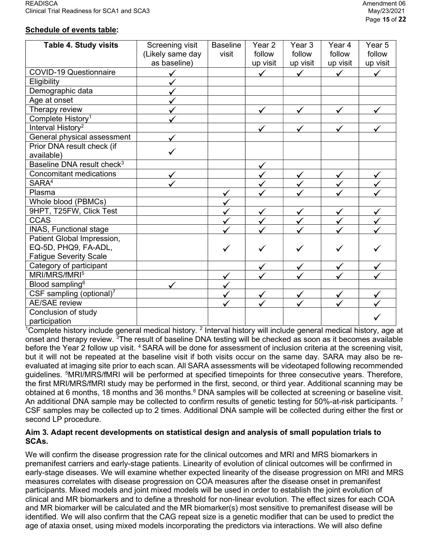# Schedule of events table:

| <b>Table 4. Study visits</b>           | Screening visit  | <b>Baseline</b> | Year <sub>2</sub> | Year <sub>3</sub> | Year 4       | Year 5       |
|----------------------------------------|------------------|-----------------|-------------------|-------------------|--------------|--------------|
|                                        | (Likely same day | visit           | follow            | follow            | follow       | follow       |
|                                        | as baseline)     |                 | up visit          | up visit          | up visit     | up visit     |
| <b>COVID-19 Questionnaire</b>          |                  |                 | $\checkmark$      | ✓                 | ✓            | ✓            |
| Eligibility                            |                  |                 |                   |                   |              |              |
| Demographic data                       |                  |                 |                   |                   |              |              |
| Age at onset                           |                  |                 |                   |                   |              |              |
| Therapy review                         |                  |                 |                   |                   |              |              |
| Complete History <sup>1</sup>          |                  |                 |                   |                   |              |              |
| Interval History <sup>2</sup>          |                  |                 |                   |                   |              |              |
| General physical assessment            |                  |                 |                   |                   |              |              |
| Prior DNA result check (if             |                  |                 |                   |                   |              |              |
| available)                             |                  |                 |                   |                   |              |              |
| Baseline DNA result check <sup>3</sup> |                  |                 | $\checkmark$      |                   |              |              |
| <b>Concomitant medications</b>         |                  |                 |                   |                   |              | ✓            |
| SARA <sup>4</sup>                      |                  |                 |                   |                   |              | $\checkmark$ |
| Plasma                                 |                  |                 |                   |                   |              |              |
| Whole blood (PBMCs)                    |                  |                 |                   |                   |              |              |
| 9HPT, T25FW, Click Test                |                  |                 |                   | $\checkmark$      | $\checkmark$ |              |
| <b>CCAS</b>                            |                  | ✔               |                   |                   |              | $\checkmark$ |
| INAS, Functional stage                 |                  |                 |                   |                   |              |              |
| Patient Global Impression,             |                  |                 |                   |                   |              |              |
| EQ-5D, PHQ9, FA-ADL,                   |                  | ✓               |                   |                   |              |              |
| <b>Fatigue Severity Scale</b>          |                  |                 |                   |                   |              |              |
| Category of participant                |                  |                 |                   |                   |              |              |
| MRI/MRS/fMRI <sup>5</sup>              |                  |                 |                   |                   |              |              |
| Blood sampling <sup>6</sup>            |                  |                 |                   |                   |              |              |
| CSF sampling (optional) $^7$           |                  | ✓               |                   |                   |              |              |
| <b>AE/SAE</b> review                   |                  |                 |                   |                   |              |              |
| Conclusion of study                    |                  |                 |                   |                   |              |              |
| participation                          |                  |                 |                   |                   |              |              |

<sup>1</sup>Complete history include general medical history. <sup>2</sup> Interval history will include general medical history, age at onset and therapy review. <sup>3</sup>The result of baseline DNA testing will be checked as soon as it becomes available before the Year 2 follow up visit. <sup>4</sup> SARA will be done for assessment of inclusion criteria at the screening visit, but it will not be repeated at the baseline visit if both visits occur on the same day. SARA may also be reevaluated at imaging site prior to each scan. All SARA assessments will be videotaped following recommended guidelines. <sup>5</sup>MRI/MRS/fMRI will be performed at specified timepoints for three consecutive years. Therefore, the first MRI/MRS/fMRI study may be performed in the first, second, or third year. Additional scanning may be obtained at 6 months, 18 months and 36 months.<sup>6</sup> DNA samples will be collected at screening or baseline visit. An additional DNA sample may be collected to confirm results of genetic testing for 50%-at-risk participants.<sup>7</sup> CSF samples may be collected up to 2 times. Additional DNA sample will be collected during either the first or second LP procedure.

## Aim 3. Adapt recent developments on statistical design and analysis of small population trials to SCAs.

We will confirm the disease progression rate for the clinical outcomes and MRI and MRS biomarkers in premanifest carriers and early-stage patients. Linearity of evolution of clinical outcomes will be confirmed in early-stage diseases. We will examine whether expected linearity of the disease progression on MRI and MRS measures correlates with disease progression on COA measures after the disease onset in premanifest participants. Mixed models and joint mixed models will be used in order to establish the joint evolution of clinical and MR biomarkers and to define a threshold for non-linear evolution. The effect sizes for each COA and MR biomarker will be calculated and the MR biomarker(s) most sensitive to premanifest disease will be identified. We will also confirm that the CAG repeat size is a genetic modifier that can be used to predict the age of ataxia onset, using mixed models incorporating the predictors via interactions. We will also define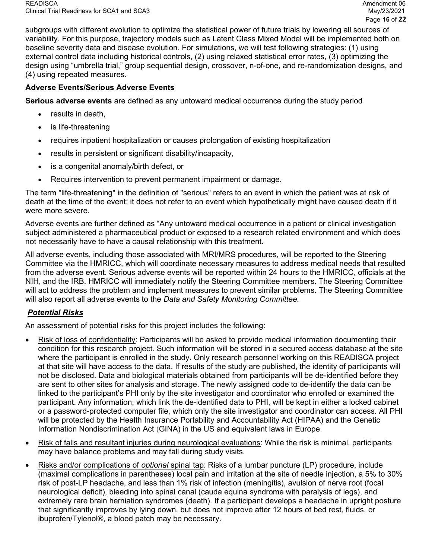subgroups with different evolution to optimize the statistical power of future trials by lowering all sources of variability. For this purpose, trajectory models such as Latent Class Mixed Model will be implemented both on baseline severity data and disease evolution. For simulations, we will test following strategies: (1) using external control data including historical controls, (2) using relaxed statistical error rates, (3) optimizing the design using "umbrella trial," group sequential design, crossover, n-of-one, and re-randomization designs, and (4) using repeated measures.

# Adverse Events/Serious Adverse Events

Serious adverse events are defined as any untoward medical occurrence during the study period

- results in death,
- is life-threatening
- requires inpatient hospitalization or causes prolongation of existing hospitalization
- results in persistent or significant disability/incapacity,
- is a congenital anomaly/birth defect, or
- Requires intervention to prevent permanent impairment or damage.

The term "life-threatening" in the definition of "serious" refers to an event in which the patient was at risk of death at the time of the event; it does not refer to an event which hypothetically might have caused death if it were more severe.

Adverse events are further defined as "Any untoward medical occurrence in a patient or clinical investigation subject administered a pharmaceutical product or exposed to a research related environment and which does not necessarily have to have a causal relationship with this treatment.

All adverse events, including those associated with MRI/MRS procedures, will be reported to the Steering Committee via the HMRICC, which will coordinate necessary measures to address medical needs that resulted from the adverse event. Serious adverse events will be reported within 24 hours to the HMRICC, officials at the NIH, and the IRB. HMRICC will immediately notify the Steering Committee members. The Steering Committee will act to address the problem and implement measures to prevent similar problems. The Steering Committee will also report all adverse events to the Data and Safety Monitoring Committee.

# Potential Risks

An assessment of potential risks for this project includes the following:

- Risk of loss of confidentiality: Participants will be asked to provide medical information documenting their condition for this research project. Such information will be stored in a secured access database at the site where the participant is enrolled in the study. Only research personnel working on this READISCA project at that site will have access to the data. If results of the study are published, the identity of participants will not be disclosed. Data and biological materials obtained from participants will be de-identified before they are sent to other sites for analysis and storage. The newly assigned code to de-identify the data can be linked to the participant's PHI only by the site investigator and coordinator who enrolled or examined the participant. Any information, which link the de-identified data to PHI, will be kept in either a locked cabinet or a password-protected computer file, which only the site investigator and coordinator can access. All PHI will be protected by the Health Insurance Portability and Accountability Act (HIPAA) and the Genetic Information Nondiscrimination Act (GINA) in the US and equivalent laws in Europe.
- Risk of falls and resultant injuries during neurological evaluations: While the risk is minimal, participants may have balance problems and may fall during study visits.
- Risks and/or complications of *optional* spinal tap: Risks of a lumbar puncture (LP) procedure, include (maximal complications in parentheses) local pain and irritation at the site of needle injection, a 5% to 30% risk of post-LP headache, and less than 1% risk of infection (meningitis), avulsion of nerve root (focal neurological deficit), bleeding into spinal canal (cauda equina syndrome with paralysis of legs), and extremely rare brain herniation syndromes (death). If a participant develops a headache in upright posture that significantly improves by lying down, but does not improve after 12 hours of bed rest, fluids, or ibuprofen/Tylenol®, a blood patch may be necessary.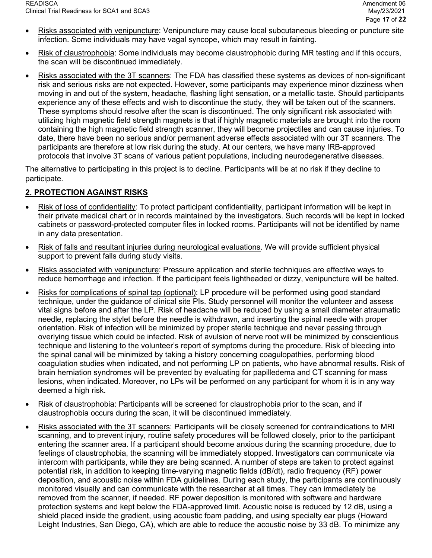- Risks associated with venipuncture: Venipuncture may cause local subcutaneous bleeding or puncture site infection. Some individuals may have vagal syncope, which may result in fainting.
- Risk of claustrophobia: Some individuals may become claustrophobic during MR testing and if this occurs, the scan will be discontinued immediately.
- Risks associated with the 3T scanners: The FDA has classified these systems as devices of non-significant risk and serious risks are not expected. However, some participants may experience minor dizziness when moving in and out of the system, headache, flashing light sensation, or a metallic taste. Should participants experience any of these effects and wish to discontinue the study, they will be taken out of the scanners. These symptoms should resolve after the scan is discontinued. The only significant risk associated with utilizing high magnetic field strength magnets is that if highly magnetic materials are brought into the room containing the high magnetic field strength scanner, they will become projectiles and can cause injuries. To date, there have been no serious and/or permanent adverse effects associated with our 3T scanners. The participants are therefore at low risk during the study. At our centers, we have many IRB-approved protocols that involve 3T scans of various patient populations, including neurodegenerative diseases.

The alternative to participating in this project is to decline. Participants will be at no risk if they decline to participate.

# 2. PROTECTION AGAINST RISKS

- Risk of loss of confidentiality: To protect participant confidentiality, participant information will be kept in their private medical chart or in records maintained by the investigators. Such records will be kept in locked cabinets or password-protected computer files in locked rooms. Participants will not be identified by name in any data presentation.
- Risk of falls and resultant injuries during neurological evaluations. We will provide sufficient physical support to prevent falls during study visits.
- Risks associated with venipuncture: Pressure application and sterile techniques are effective ways to reduce hemorrhage and infection. If the participant feels lightheaded or dizzy, venipuncture will be halted.
- Risks for complications of spinal tap (optional): LP procedure will be performed using good standard technique, under the guidance of clinical site PIs. Study personnel will monitor the volunteer and assess vital signs before and after the LP. Risk of headache will be reduced by using a small diameter atraumatic needle, replacing the stylet before the needle is withdrawn, and inserting the spinal needle with proper orientation. Risk of infection will be minimized by proper sterile technique and never passing through overlying tissue which could be infected. Risk of avulsion of nerve root will be minimized by conscientious technique and listening to the volunteer's report of symptoms during the procedure. Risk of bleeding into the spinal canal will be minimized by taking a history concerning coagulopathies, performing blood coagulation studies when indicated, and not performing LP on patients, who have abnormal results. Risk of brain herniation syndromes will be prevented by evaluating for papilledema and CT scanning for mass lesions, when indicated. Moreover, no LPs will be performed on any participant for whom it is in any way deemed a high risk.
- Risk of claustrophobia: Participants will be screened for claustrophobia prior to the scan, and if claustrophobia occurs during the scan, it will be discontinued immediately.
- Risks associated with the 3T scanners: Participants will be closely screened for contraindications to MRI scanning, and to prevent injury, routine safety procedures will be followed closely, prior to the participant entering the scanner area. If a participant should become anxious during the scanning procedure, due to feelings of claustrophobia, the scanning will be immediately stopped. Investigators can communicate via intercom with participants, while they are being scanned. A number of steps are taken to protect against potential risk, in addition to keeping time-varying magnetic fields (dB/dt), radio frequency (RF) power deposition, and acoustic noise within FDA guidelines. During each study, the participants are continuously monitored visually and can communicate with the researcher at all times. They can immediately be removed from the scanner, if needed. RF power deposition is monitored with software and hardware protection systems and kept below the FDA-approved limit. Acoustic noise is reduced by 12 dB, using a shield placed inside the gradient, using acoustic foam padding, and using specialty ear plugs (Howard Leight Industries, San Diego, CA), which are able to reduce the acoustic noise by 33 dB. To minimize any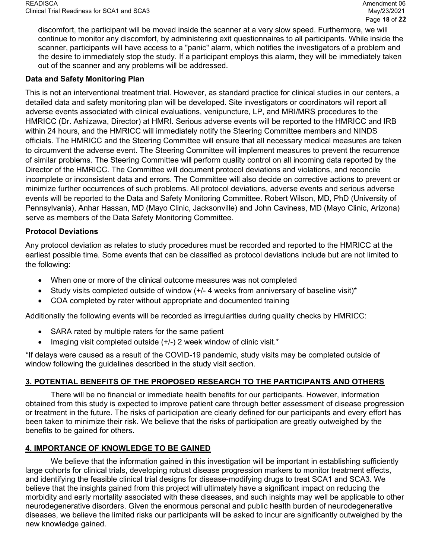discomfort, the participant will be moved inside the scanner at a very slow speed. Furthermore, we will continue to monitor any discomfort, by administering exit questionnaires to all participants. While inside the scanner, participants will have access to a "panic" alarm, which notifies the investigators of a problem and the desire to immediately stop the study. If a participant employs this alarm, they will be immediately taken out of the scanner and any problems will be addressed.

## Data and Safety Monitoring Plan

This is not an interventional treatment trial. However, as standard practice for clinical studies in our centers, a detailed data and safety monitoring plan will be developed. Site investigators or coordinators will report all adverse events associated with clinical evaluations, venipuncture, LP, and MRI/MRS procedures to the HMRICC (Dr. Ashizawa, Director) at HMRI. Serious adverse events will be reported to the HMRICC and IRB within 24 hours, and the HMRICC will immediately notify the Steering Committee members and NINDS officials. The HMRICC and the Steering Committee will ensure that all necessary medical measures are taken to circumvent the adverse event. The Steering Committee will implement measures to prevent the recurrence of similar problems. The Steering Committee will perform quality control on all incoming data reported by the Director of the HMRICC. The Committee will document protocol deviations and violations, and reconcile incomplete or inconsistent data and errors. The Committee will also decide on corrective actions to prevent or minimize further occurrences of such problems. All protocol deviations, adverse events and serious adverse events will be reported to the Data and Safety Monitoring Committee. Robert Wilson, MD, PhD (University of Pennsylvania), Anhar Hassan, MD (Mayo Clinic, Jacksonville) and John Caviness, MD (Mayo Clinic, Arizona) serve as members of the Data Safety Monitoring Committee.

## Protocol Deviations

Any protocol deviation as relates to study procedures must be recorded and reported to the HMRICC at the earliest possible time. Some events that can be classified as protocol deviations include but are not limited to the following:

- When one or more of the clinical outcome measures was not completed
- Study visits completed outside of window (+/- 4 weeks from anniversary of baseline visit)\*
- COA completed by rater without appropriate and documented training

Additionally the following events will be recorded as irregularities during quality checks by HMRICC:

- SARA rated by multiple raters for the same patient
- Imaging visit completed outside (+/-) 2 week window of clinic visit.\*

\*If delays were caused as a result of the COVID-19 pandemic, study visits may be completed outside of window following the guidelines described in the study visit section.

# 3. POTENTIAL BENEFITS OF THE PROPOSED RESEARCH TO THE PARTICIPANTS AND OTHERS

There will be no financial or immediate health benefits for our participants. However, information obtained from this study is expected to improve patient care through better assessment of disease progression or treatment in the future. The risks of participation are clearly defined for our participants and every effort has been taken to minimize their risk. We believe that the risks of participation are greatly outweighed by the benefits to be gained for others.

# 4. IMPORTANCE OF KNOWLEDGE TO BE GAINED

We believe that the information gained in this investigation will be important in establishing sufficiently large cohorts for clinical trials, developing robust disease progression markers to monitor treatment effects, and identifying the feasible clinical trial designs for disease-modifying drugs to treat SCA1 and SCA3. We believe that the insights gained from this project will ultimately have a significant impact on reducing the morbidity and early mortality associated with these diseases, and such insights may well be applicable to other neurodegenerative disorders. Given the enormous personal and public health burden of neurodegenerative diseases, we believe the limited risks our participants will be asked to incur are significantly outweighed by the new knowledge gained.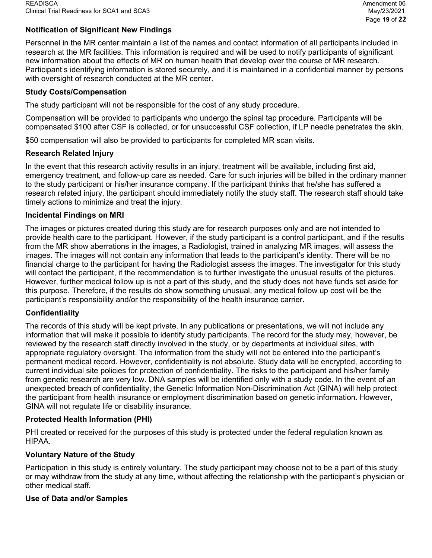# Notification of Significant New Findings

Personnel in the MR center maintain a list of the names and contact information of all participants included in research at the MR facilities. This information is required and will be used to notify participants of significant new information about the effects of MR on human health that develop over the course of MR research. Participant's identifying information is stored securely, and it is maintained in a confidential manner by persons with oversight of research conducted at the MR center.

## Study Costs/Compensation

The study participant will not be responsible for the cost of any study procedure.

Compensation will be provided to participants who undergo the spinal tap procedure. Participants will be compensated \$100 after CSF is collected, or for unsuccessful CSF collection, if LP needle penetrates the skin.

\$50 compensation will also be provided to participants for completed MR scan visits.

## Research Related Injury

In the event that this research activity results in an injury, treatment will be available, including first aid, emergency treatment, and follow-up care as needed. Care for such injuries will be billed in the ordinary manner to the study participant or his/her insurance company. If the participant thinks that he/she has suffered a research related injury, the participant should immediately notify the study staff. The research staff should take timely actions to minimize and treat the injury.

## Incidental Findings on MRI

The images or pictures created during this study are for research purposes only and are not intended to provide health care to the participant. However, if the study participant is a control participant, and if the results from the MR show aberrations in the images, a Radiologist, trained in analyzing MR images, will assess the images. The images will not contain any information that leads to the participant's identity. There will be no financial charge to the participant for having the Radiologist assess the images. The investigator for this study will contact the participant, if the recommendation is to further investigate the unusual results of the pictures. However, further medical follow up is not a part of this study, and the study does not have funds set aside for this purpose. Therefore, if the results do show something unusual, any medical follow up cost will be the participant's responsibility and/or the responsibility of the health insurance carrier.

# **Confidentiality**

The records of this study will be kept private. In any publications or presentations, we will not include any information that will make it possible to identify study participants. The record for the study may, however, be reviewed by the research staff directly involved in the study, or by departments at individual sites, with appropriate regulatory oversight. The information from the study will not be entered into the participant's permanent medical record. However, confidentiality is not absolute. Study data will be encrypted, according to current individual site policies for protection of confidentiality. The risks to the participant and his/her family from genetic research are very low. DNA samples will be identified only with a study code. In the event of an unexpected breach of confidentiality, the Genetic Information Non-Discrimination Act (GINA) will help protect the participant from health insurance or employment discrimination based on genetic information. However, GINA will not regulate life or disability insurance.

## Protected Health Information (PHI)

PHI created or received for the purposes of this study is protected under the federal regulation known as HIPAA.

## Voluntary Nature of the Study

Participation in this study is entirely voluntary. The study participant may choose not to be a part of this study or may withdraw from the study at any time, without affecting the relationship with the participant's physician or other medical staff.

## Use of Data and/or Samples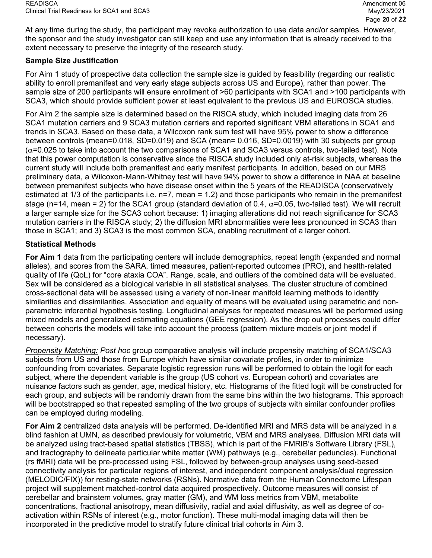At any time during the study, the participant may revoke authorization to use data and/or samples. However, the sponsor and the study investigator can still keep and use any information that is already received to the extent necessary to preserve the integrity of the research study.

## Sample Size Justification

For Aim 1 study of prospective data collection the sample size is guided by feasibility (regarding our realistic ability to enroll premanifest and very early stage subjects across US and Europe), rather than power. The sample size of 200 participants will ensure enrollment of >60 participants with SCA1 and >100 participants with SCA3, which should provide sufficient power at least equivalent to the previous US and EUROSCA studies.

For Aim 2 the sample size is determined based on the RISCA study, which included imaging data from 26 SCA1 mutation carriers and 9 SCA3 mutation carriers and reported significant VBM alterations in SCA1 and trends in SCA3. Based on these data, a Wilcoxon rank sum test will have 95% power to show a difference between controls (mean=0.018, SD=0.019) and SCA (mean= 0.016, SD=0.0019) with 30 subjects per group  $(\alpha=0.025$  to take into account the two comparisons of SCA1 and SCA3 versus controls, two-tailed test). Note that this power computation is conservative since the RISCA study included only at-risk subjects, whereas the current study will include both premanifest and early manifest participants. In addition, based on our MRS preliminary data, a Wilcoxon-Mann-Whitney test will have 94% power to show a difference in NAA at baseline between premanifest subjects who have disease onset within the 5 years of the READISCA (conservatively estimated at 1/3 of the participants i.e. n=7, mean = 1.2) and those participants who remain in the premanifest stage (n=14, mean = 2) for the SCA1 group (standard deviation of 0.4,  $\alpha$ =0.05, two-tailed test). We will recruit a larger sample size for the SCA3 cohort because: 1) imaging alterations did not reach significance for SCA3 mutation carriers in the RISCA study; 2) the diffusion MRI abnormalities were less pronounced in SCA3 than those in SCA1; and 3) SCA3 is the most common SCA, enabling recruitment of a larger cohort.

## Statistical Methods

For Aim 1 data from the participating centers will include demographics, repeat length (expanded and normal alleles), and scores from the SARA, timed measures, patient-reported outcomes (PRO), and health-related quality of life (QoL) for "core ataxia COA". Range, scale, and outliers of the combined data will be evaluated. Sex will be considered as a biological variable in all statistical analyses. The cluster structure of combined cross-sectional data will be assessed using a variety of non-linear manifold learning methods to identify similarities and dissimilarities. Association and equality of means will be evaluated using parametric and nonparametric inferential hypothesis testing. Longitudinal analyses for repeated measures will be performed using mixed models and generalized estimating equations (GEE regression). As the drop out processes could differ between cohorts the models will take into account the process (pattern mixture models or joint model if necessary).

Propensity Matching: Post hoc group comparative analysis will include propensity matching of SCA1/SCA3 subjects from US and those from Europe which have similar covariate profiles, in order to minimize confounding from covariates. Separate logistic regression runs will be performed to obtain the logit for each subject, where the dependent variable is the group (US cohort vs. European cohort) and covariates are nuisance factors such as gender, age, medical history, etc. Histograms of the fitted logit will be constructed for each group, and subjects will be randomly drawn from the same bins within the two histograms. This approach will be bootstrapped so that repeated sampling of the two groups of subjects with similar confounder profiles can be employed during modeling.

For Aim 2 centralized data analysis will be performed. De-identified MRI and MRS data will be analyzed in a blind fashion at UMN, as described previously for volumetric, VBM and MRS analyses. Diffusion MRI data will be analyzed using tract-based spatial statistics (TBSS), which is part of the FMRIB's Software Library (FSL), and tractography to delineate particular white matter (WM) pathways (e.g., cerebellar peduncles). Functional (rs fMRI) data will be pre-processed using FSL, followed by between-group analyses using seed-based connectivity analysis for particular regions of interest, and independent component analysis/dual regression (MELODIC/FIX)) for resting-state networks (RSNs). Normative data from the Human Connectome Lifespan project will supplement matched-control data acquired prospectively. Outcome measures will consist of cerebellar and brainstem volumes, gray matter (GM), and WM loss metrics from VBM, metabolite concentrations, fractional anisotropy, mean diffusivity, radial and axial diffusivity, as well as degree of coactivation within RSNs of interest (e.g., motor function). These multi-modal imaging data will then be incorporated in the predictive model to stratify future clinical trial cohorts in Aim 3.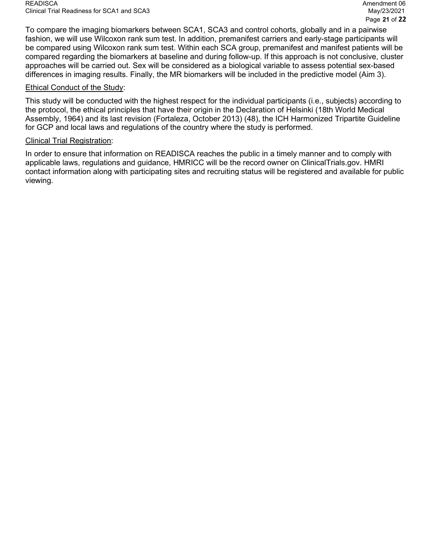To compare the imaging biomarkers between SCA1, SCA3 and control cohorts, globally and in a pairwise fashion, we will use Wilcoxon rank sum test. In addition, premanifest carriers and early-stage participants will be compared using Wilcoxon rank sum test. Within each SCA group, premanifest and manifest patients will be compared regarding the biomarkers at baseline and during follow-up. If this approach is not conclusive, cluster approaches will be carried out. Sex will be considered as a biological variable to assess potential sex-based differences in imaging results. Finally, the MR biomarkers will be included in the predictive model (Aim 3).

## Ethical Conduct of the Study:

This study will be conducted with the highest respect for the individual participants (i.e., subjects) according to the protocol, the ethical principles that have their origin in the Declaration of Helsinki (18th World Medical Assembly, 1964) and its last revision (Fortaleza, October 2013) (48), the ICH Harmonized Tripartite Guideline for GCP and local laws and regulations of the country where the study is performed.

#### Clinical Trial Registration:

In order to ensure that information on READISCA reaches the public in a timely manner and to comply with applicable laws, regulations and guidance, HMRICC will be the record owner on ClinicalTrials.gov. HMRI contact information along with participating sites and recruiting status will be registered and available for public viewing.